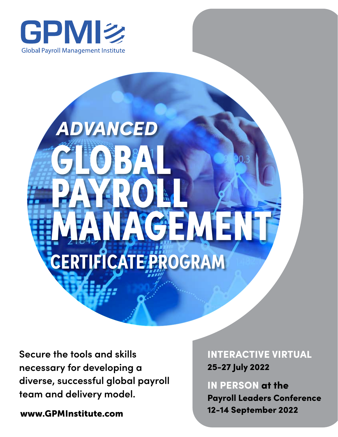



**Secure the tools and skills necessary for developing a diverse, successful global payroll team and delivery model.**

INTERACTIVE VIRTUAL 25-27 July 2022

IN PERSON at the Payroll Leaders Conference [www.GPMInstitute.com](http://www.GPMInstitute.com) 12-14 September 2022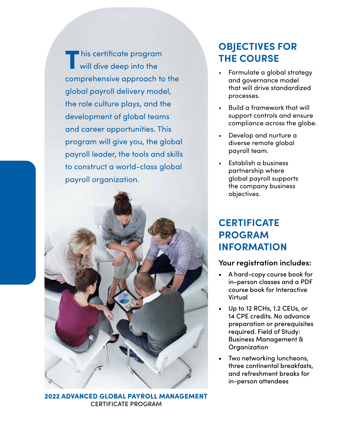This certificate program will dive deep into the comprehensive approach to the global payroll delivery model, the role culture plays, and the development of global teams and career opportunities. This program will give you, the global payroll leader, the tools and skills to construct a world-class global payroll organization.



2022 ADVANCED GLOBAL PAYROLL MANAGEMENT CERTIFICATE PROGRAM

# **OBJECTIVES FOR THE COURSE**

- **•** Formulate a global strategy and governance model that will drive standardized processes.
- **•** Build a framework that will support controls and ensure compliance across the globe.
- **•** Develop and nurture a diverse remote global payroll team.
- **•** Establish a business partnership where global payroll supports the company business objectives.

# **CERTIFICATE PROGRAM INFORMATION**

## **Your registration includes:**

- A hard-copy course book for in-person classes and a PDF course book for Interactive Virtual
- Up to 12 RCHs, 1.2 CEUs, or 14 CPE credits. No advance preparation or prerequisites required. Field of Study: Business Management & **Organization**
- Two networking luncheons, three continental breakfasts, and refreshment breaks for in-person attendees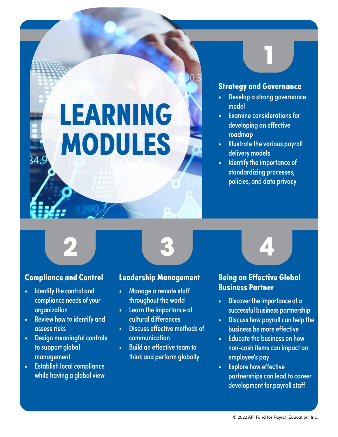# LEARNING MODULES

# **Strategy and Governance**

- Develop a strong governance model
- Examine considerations for developing an effective roadmap
- Illustrate the various payroll delivery models
- Identify the importance of standardizing processes, policies, and data privacy



## Compliance and Control

- Identify the control and compliance needs of your organization
- Review how to identify and assess risks
- Design meaningful controls to support global management
- Establish local compliance while having a global view

# Leadership Management

- Manage a remote staff throughout the world
- Learn the importance of cultural differences
- **Discuss effective methods of** communication
- Build an effective team to think and perform globally

# Being an Effective Global Business Partner

- Discover the importance of a successful business partnership
- Discuss how payroll can help the business be more effective
- Educate the business on how non-cash items can impact an employee's pay
- Explore how effective partnerships can lead to career development for payroll staff